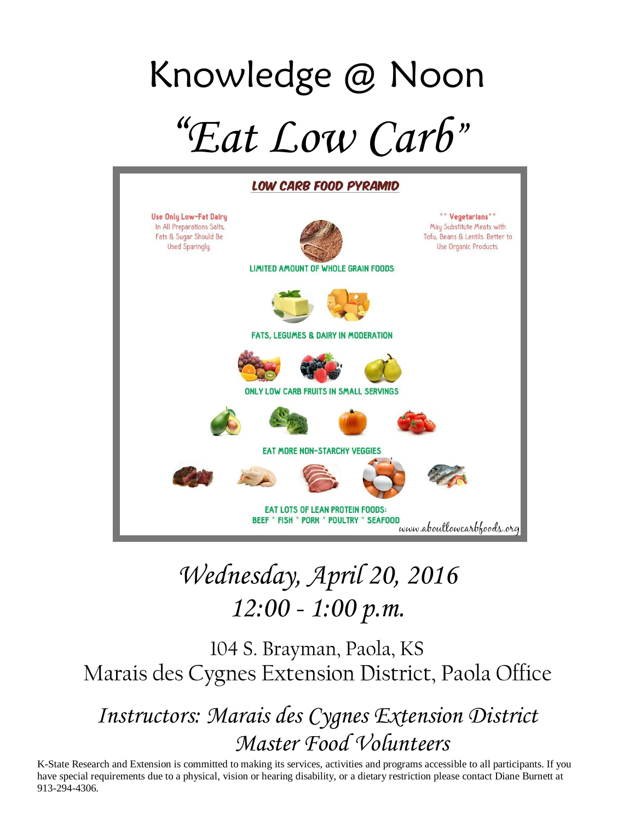# Knowledge @ Noon "*Eat Low Carb*"



# *Wednesday, April 20, 2016 12:00 - 1:00 p.m.*

104 S. Brayman, Paola, KS Marais des Cygnes Extension District, Paola Office

*Instructors: Marais des Cygnes Extension District Master Food Volunteers*

K-State Research and Extension is committed to making its services, activities and programs accessible to all participants. If you have special requirements due to a physical, vision or hearing disability, or a dietary restriction please contact Diane Burnett at 913-294-4306.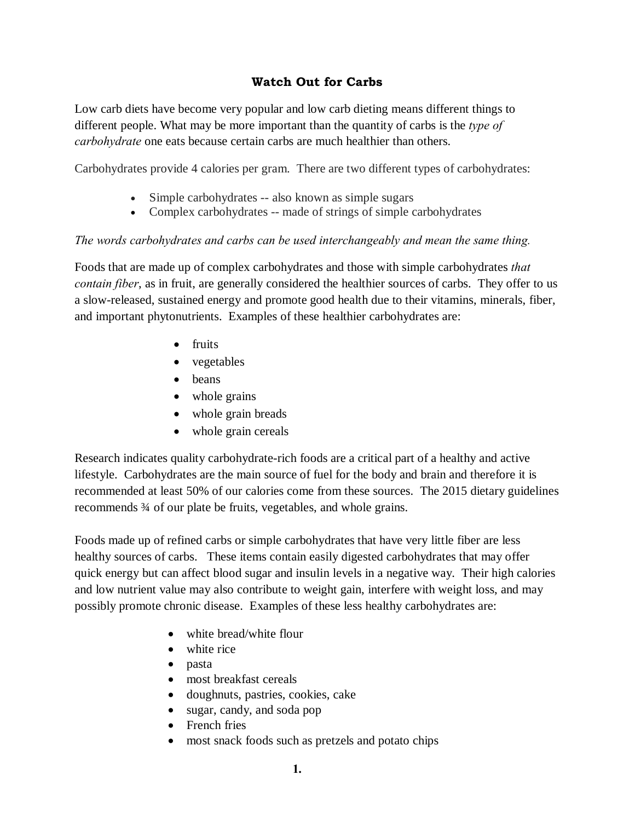# **Watch Out for Carbs**

Low carb diets have become very popular and low carb dieting means different things to different people. What may be more important than the quantity of carbs is the *type of carbohydrate* one eats because certain carbs are much healthier than others.

Carbohydrates provide 4 calories per gram. There are two different types of carbohydrates:

- Simple carbohydrates -- also known as simple sugars
- · Complex carbohydrates -- made of strings of simple carbohydrates

#### *The words carbohydrates and carbs can be used interchangeably and mean the same thing.*

Foods that are made up of complex carbohydrates and those with simple carbohydrates *that contain fiber*, as in fruit, are generally considered the healthier sources of carbs. They offer to us a slow-released, sustained energy and promote good health due to their vitamins, minerals, fiber, and important phytonutrients. Examples of these healthier carbohydrates are:

- fruits
- vegetables
- beans
- whole grains
- whole grain breads
- whole grain cereals

Research indicates quality carbohydrate-rich foods are a critical part of a healthy and active lifestyle. Carbohydrates are the main source of fuel for the body and brain and therefore it is recommended at least 50% of our calories come from these sources. The 2015 dietary guidelines recommends ¾ of our plate be fruits, vegetables, and whole grains.

Foods made up of refined carbs or simple carbohydrates that have very little fiber are less healthy sources of carbs. These items contain easily digested carbohydrates that may offer quick energy but can affect blood sugar and insulin levels in a negative way. Their high calories and low nutrient value may also contribute to weight gain, interfere with weight loss, and may possibly promote chronic disease. Examples of these less healthy carbohydrates are:

- white bread/white flour
- white rice
- · pasta
- most breakfast cereals
- · doughnuts, pastries, cookies, cake
- sugar, candy, and soda pop
- French fries
- most snack foods such as pretzels and potato chips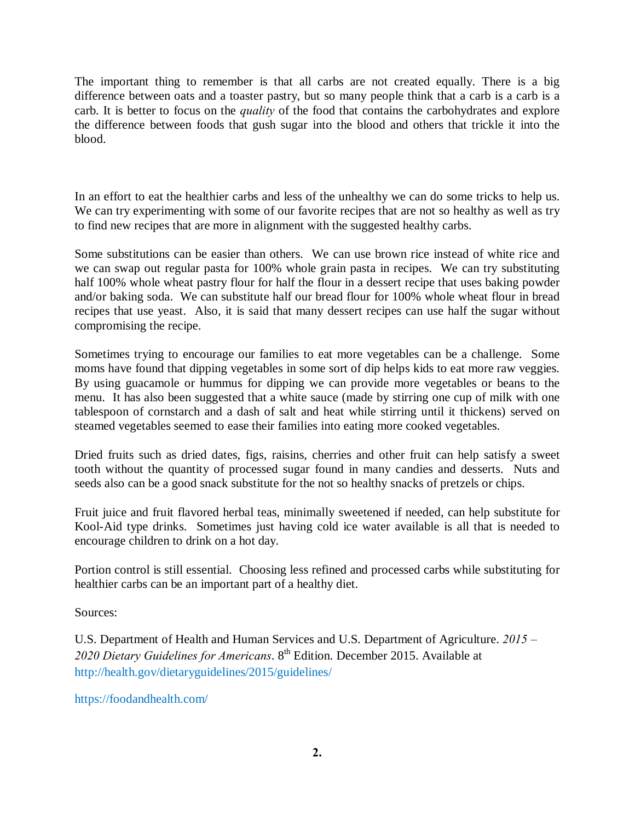The important thing to remember is that all carbs are not created equally. There is a big difference between oats and a toaster pastry, but so many people think that a carb is a carb is a carb. It is better to focus on the *quality* of the food that contains the carbohydrates and explore the difference between foods that gush sugar into the blood and others that trickle it into the blood.

In an effort to eat the healthier carbs and less of the unhealthy we can do some tricks to help us. We can try experimenting with some of our favorite recipes that are not so healthy as well as try to find new recipes that are more in alignment with the suggested healthy carbs.

Some substitutions can be easier than others. We can use brown rice instead of white rice and we can swap out regular pasta for 100% whole grain pasta in recipes. We can try substituting half 100% whole wheat pastry flour for half the flour in a dessert recipe that uses baking powder and/or baking soda. We can substitute half our bread flour for 100% whole wheat flour in bread recipes that use yeast. Also, it is said that many dessert recipes can use half the sugar without compromising the recipe.

Sometimes trying to encourage our families to eat more vegetables can be a challenge. Some moms have found that dipping vegetables in some sort of dip helps kids to eat more raw veggies. By using guacamole or hummus for dipping we can provide more vegetables or beans to the menu. It has also been suggested that a white sauce (made by stirring one cup of milk with one tablespoon of cornstarch and a dash of salt and heat while stirring until it thickens) served on steamed vegetables seemed to ease their families into eating more cooked vegetables.

Dried fruits such as dried dates, figs, raisins, cherries and other fruit can help satisfy a sweet tooth without the quantity of processed sugar found in many candies and desserts. Nuts and seeds also can be a good snack substitute for the not so healthy snacks of pretzels or chips.

Fruit juice and fruit flavored herbal teas, minimally sweetened if needed, can help substitute for Kool-Aid type drinks. Sometimes just having cold ice water available is all that is needed to encourage children to drink on a hot day.

Portion control is still essential. Choosing less refined and processed carbs while substituting for healthier carbs can be an important part of a healthy diet.

Sources:

U.S. Department of Health and Human Services and U.S. Department of Agriculture. *2015 –* 2020 Dietary Guidelines for Americans. 8<sup>th</sup> Edition. December 2015. Available at http://health.gov/dietaryguidelines/2015/guidelines/

https://foodandhealth.com/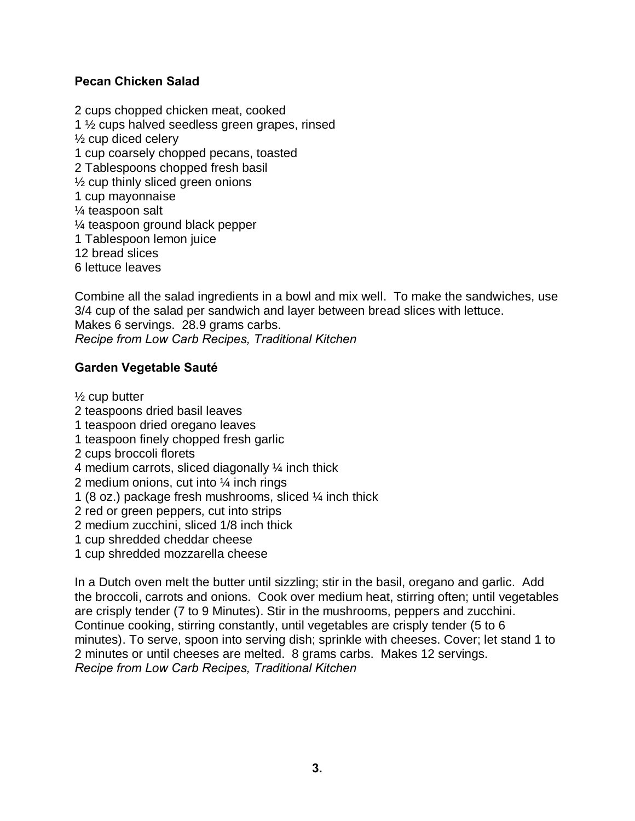# **Pecan Chicken Salad**

2 cups chopped chicken meat, cooked 1 ½ cups halved seedless green grapes, rinsed ½ cup diced celery 1 cup coarsely chopped pecans, toasted 2 Tablespoons chopped fresh basil ½ cup thinly sliced green onions 1 cup mayonnaise ¼ teaspoon salt ¼ teaspoon ground black pepper 1 Tablespoon lemon juice 12 bread slices 6 lettuce leaves

Combine all the salad ingredients in a bowl and mix well. To make the sandwiches, use 3/4 cup of the salad per sandwich and layer between bread slices with lettuce. Makes 6 servings. 28.9 grams carbs. *Recipe from Low Carb Recipes, Traditional Kitchen*

# **Garden Vegetable Sauté**

 $\frac{1}{2}$  cup butter

- 2 teaspoons dried basil leaves
- 1 teaspoon dried oregano leaves
- 1 teaspoon finely chopped fresh garlic
- 2 cups broccoli florets
- 4 medium carrots, sliced diagonally ¼ inch thick
- 2 medium onions, cut into ¼ inch rings
- 1 (8 oz.) package fresh mushrooms, sliced ¼ inch thick
- 2 red or green peppers, cut into strips
- 2 medium zucchini, sliced 1/8 inch thick
- 1 cup shredded cheddar cheese
- 1 cup shredded mozzarella cheese

In a Dutch oven melt the butter until sizzling; stir in the basil, oregano and garlic. Add the broccoli, carrots and onions. Cook over medium heat, stirring often; until vegetables are crisply tender (7 to 9 Minutes). Stir in the mushrooms, peppers and zucchini. Continue cooking, stirring constantly, until vegetables are crisply tender (5 to 6 minutes). To serve, spoon into serving dish; sprinkle with cheeses. Cover; let stand 1 to 2 minutes or until cheeses are melted. 8 grams carbs. Makes 12 servings. *Recipe from Low Carb Recipes, Traditional Kitchen*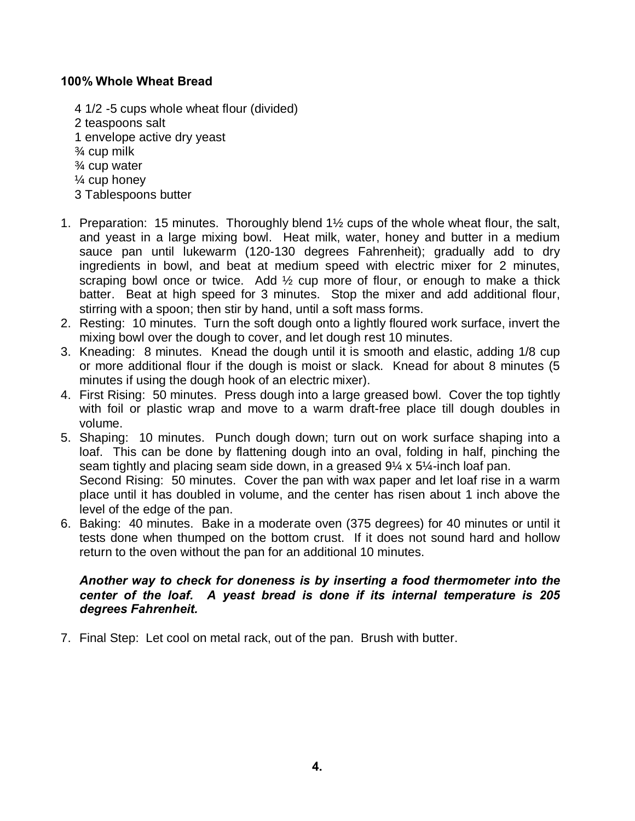# **100% Whole Wheat Bread**

- 4 1/2 -5 cups whole wheat flour (divided) 2 teaspoons salt 1 envelope active dry yeast ¾ cup milk ¾ cup water ¼ cup honey 3 Tablespoons butter
- 1. Preparation: 15 minutes. Thoroughly blend 1½ cups of the whole wheat flour, the salt, and yeast in a large mixing bowl. Heat milk, water, honey and butter in a medium sauce pan until lukewarm (120-130 degrees Fahrenheit); gradually add to dry ingredients in bowl, and beat at medium speed with electric mixer for 2 minutes, scraping bowl once or twice. Add 1/2 cup more of flour, or enough to make a thick batter. Beat at high speed for 3 minutes. Stop the mixer and add additional flour, stirring with a spoon; then stir by hand, until a soft mass forms.
- 2. Resting: 10 minutes. Turn the soft dough onto a lightly floured work surface, invert the mixing bowl over the dough to cover, and let dough rest 10 minutes.
- 3. Kneading: 8 minutes. Knead the dough until it is smooth and elastic, adding 1/8 cup or more additional flour if the dough is moist or slack. Knead for about 8 minutes (5 minutes if using the dough hook of an electric mixer).
- 4. First Rising: 50 minutes. Press dough into a large greased bowl. Cover the top tightly with foil or plastic wrap and move to a warm draft-free place till dough doubles in volume.
- 5. Shaping: 10 minutes. Punch dough down; turn out on work surface shaping into a loaf. This can be done by flattening dough into an oval, folding in half, pinching the seam tightly and placing seam side down, in a greased 9¼ x 5¼-inch loaf pan. Second Rising: 50 minutes. Cover the pan with wax paper and let loaf rise in a warm place until it has doubled in volume, and the center has risen about 1 inch above the level of the edge of the pan.
- 6. Baking: 40 minutes. Bake in a moderate oven (375 degrees) for 40 minutes or until it tests done when thumped on the bottom crust. If it does not sound hard and hollow return to the oven without the pan for an additional 10 minutes.

# *Another way to check for doneness is by inserting a food thermometer into the center of the loaf. A yeast bread is done if its internal temperature is 205 degrees Fahrenheit.*

7. Final Step: Let cool on metal rack, out of the pan. Brush with butter.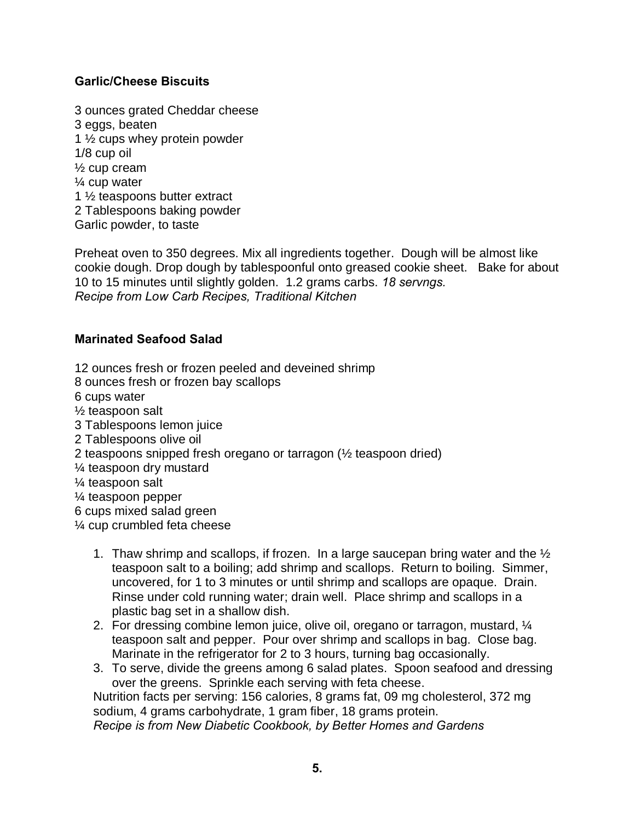# **Garlic/Cheese Biscuits**

3 ounces grated Cheddar cheese 3 eggs, beaten 1 ½ cups whey protein powder 1/8 cup oil ½ cup cream ¼ cup water 1 ½ teaspoons butter extract 2 Tablespoons baking powder Garlic powder, to taste

Preheat oven to 350 degrees. Mix all ingredients together. Dough will be almost like cookie dough. Drop dough by tablespoonful onto greased cookie sheet. Bake for about 10 to 15 minutes until slightly golden. 1.2 grams carbs. *18 servngs. Recipe from Low Carb Recipes, Traditional Kitchen*

#### **Marinated Seafood Salad**

12 ounces fresh or frozen peeled and deveined shrimp

8 ounces fresh or frozen bay scallops

6 cups water

½ teaspoon salt

- 3 Tablespoons lemon juice
- 2 Tablespoons olive oil
- 2 teaspoons snipped fresh oregano or tarragon (½ teaspoon dried)
- ¼ teaspoon dry mustard
- ¼ teaspoon salt
- ¼ teaspoon pepper

6 cups mixed salad green

¼ cup crumbled feta cheese

- 1. Thaw shrimp and scallops, if frozen. In a large saucepan bring water and the ½ teaspoon salt to a boiling; add shrimp and scallops. Return to boiling. Simmer, uncovered, for 1 to 3 minutes or until shrimp and scallops are opaque. Drain. Rinse under cold running water; drain well. Place shrimp and scallops in a plastic bag set in a shallow dish.
- 2. For dressing combine lemon juice, olive oil, oregano or tarragon, mustard, ¼ teaspoon salt and pepper. Pour over shrimp and scallops in bag. Close bag. Marinate in the refrigerator for 2 to 3 hours, turning bag occasionally.
- 3. To serve, divide the greens among 6 salad plates. Spoon seafood and dressing over the greens. Sprinkle each serving with feta cheese.

Nutrition facts per serving: 156 calories, 8 grams fat, 09 mg cholesterol, 372 mg sodium, 4 grams carbohydrate, 1 gram fiber, 18 grams protein. *Recipe is from New Diabetic Cookbook, by Better Homes and Gardens*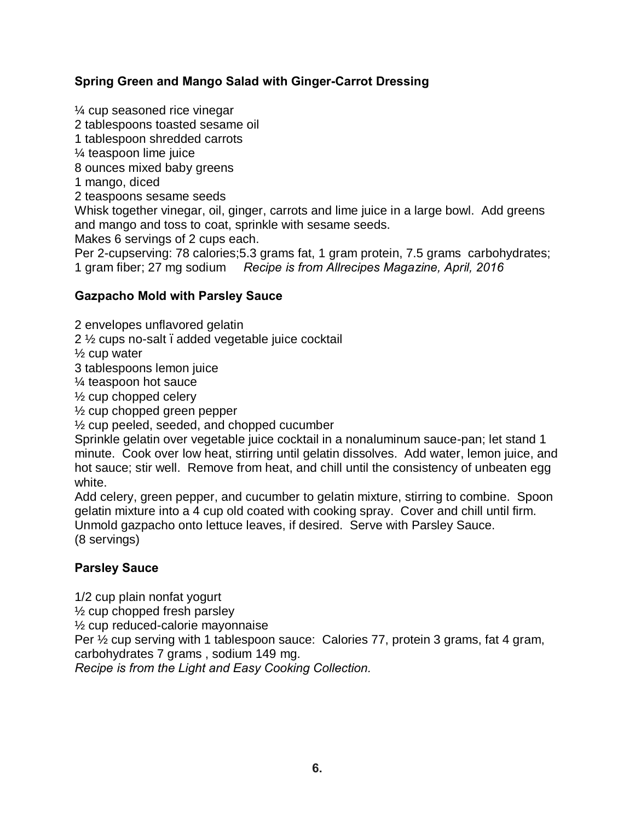# **Spring Green and Mango Salad with Ginger-Carrot Dressing**

¼ cup seasoned rice vinegar 2 tablespoons toasted sesame oil 1 tablespoon shredded carrots ¼ teaspoon lime juice 8 ounces mixed baby greens 1 mango, diced 2 teaspoons sesame seeds Whisk together vinegar, oil, ginger, carrots and lime juice in a large bowl. Add greens and mango and toss to coat, sprinkle with sesame seeds. Makes 6 servings of 2 cups each. Per 2-cupserving: 78 calories;5.3 grams fat, 1 gram protein, 7.5 grams carbohydrates; 1 gram fiber; 27 mg sodium *Recipe is from Allrecipes Magazine, April, 2016*

#### **Gazpacho Mold with Parsley Sauce**

2 envelopes unflavored gelatin

 $2\frac{1}{2}$  cups no-salt . added vegetable juice cocktail

½ cup water

3 tablespoons lemon juice

¼ teaspoon hot sauce

½ cup chopped celery

½ cup chopped green pepper

½ cup peeled, seeded, and chopped cucumber

Sprinkle gelatin over vegetable juice cocktail in a nonaluminum sauce-pan; let stand 1 minute. Cook over low heat, stirring until gelatin dissolves. Add water, lemon juice, and hot sauce; stir well. Remove from heat, and chill until the consistency of unbeaten egg white.

Add celery, green pepper, and cucumber to gelatin mixture, stirring to combine. Spoon gelatin mixture into a 4 cup old coated with cooking spray. Cover and chill until firm. Unmold gazpacho onto lettuce leaves, if desired. Serve with Parsley Sauce. (8 servings)

#### **Parsley Sauce**

1/2 cup plain nonfat yogurt

½ cup chopped fresh parsley

½ cup reduced-calorie mayonnaise

Per ½ cup serving with 1 tablespoon sauce: Calories 77, protein 3 grams, fat 4 gram,

carbohydrates 7 grams , sodium 149 mg.

*Recipe is from the Light and Easy Cooking Collection.*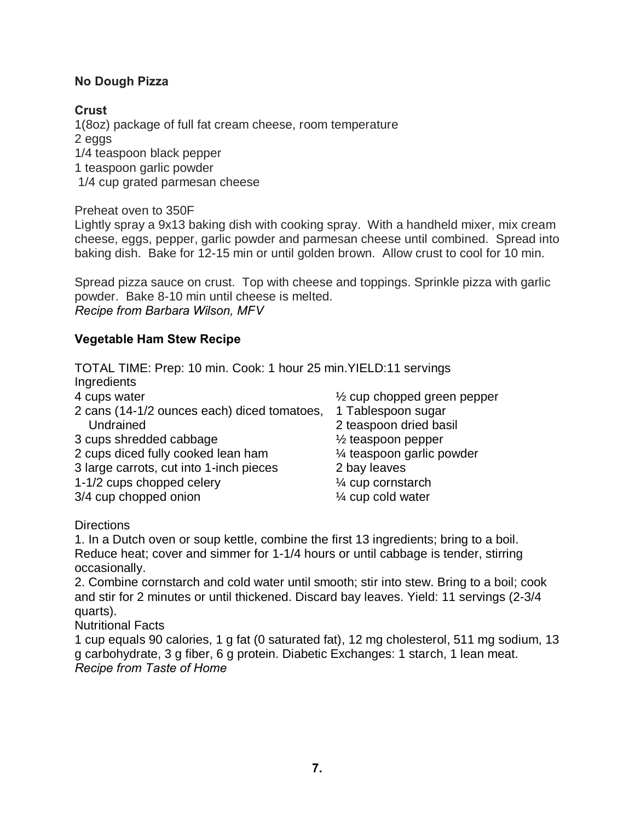# **No Dough Pizza**

# **Crust**

1(8oz) package of full fat cream cheese, room temperature 2 eggs 1/4 teaspoon black pepper 1 teaspoon garlic powder 1/4 cup grated parmesan cheese

Preheat oven to 350F

Lightly spray a 9x13 baking dish with cooking spray. With a handheld mixer, mix cream cheese, eggs, pepper, garlic powder and parmesan cheese until combined. Spread into baking dish. Bake for 12-15 min or until golden brown. Allow crust to cool for 10 min.

Spread pizza sauce on crust. Top with cheese and toppings. Sprinkle pizza with garlic powder. Bake 8-10 min until cheese is melted. *Recipe from Barbara Wilson, MFV*

# **Vegetable Ham Stew Recipe**

TOTAL TIME: Prep: 10 min. Cook: 1 hour 25 min.YIELD:11 servings **Ingredients** 

| 4 cups water                                | $\frac{1}{2}$ cup chopped green pepper |
|---------------------------------------------|----------------------------------------|
| 2 cans (14-1/2 ounces each) diced tomatoes, | 1 Tablespoon sugar                     |
| Undrained                                   | 2 teaspoon dried basil                 |
| 3 cups shredded cabbage                     | $\frac{1}{2}$ teaspoon pepper          |
| 2 cups diced fully cooked lean ham          | 1⁄4 teaspoon garlic powder             |
| 3 large carrots, cut into 1-inch pieces     | 2 bay leaves                           |
| 1-1/2 cups chopped celery                   | 1⁄4 cup cornstarch                     |
| 3/4 cup chopped onion                       | 1⁄4 cup cold water                     |
|                                             |                                        |

**Directions** 

1. In a Dutch oven or soup kettle, combine the first 13 ingredients; bring to a boil. Reduce heat; cover and simmer for 1-1/4 hours or until cabbage is tender, stirring occasionally.

2. Combine cornstarch and cold water until smooth; stir into stew. Bring to a boil; cook and stir for 2 minutes or until thickened. Discard bay leaves. Yield: 11 servings (2-3/4 quarts).

Nutritional Facts

1 cup equals 90 calories, 1 g fat (0 saturated fat), 12 mg cholesterol, 511 mg sodium, 13 g carbohydrate, 3 g fiber, 6 g protein. Diabetic Exchanges: 1 starch, 1 lean meat. *Recipe from Taste of Home*